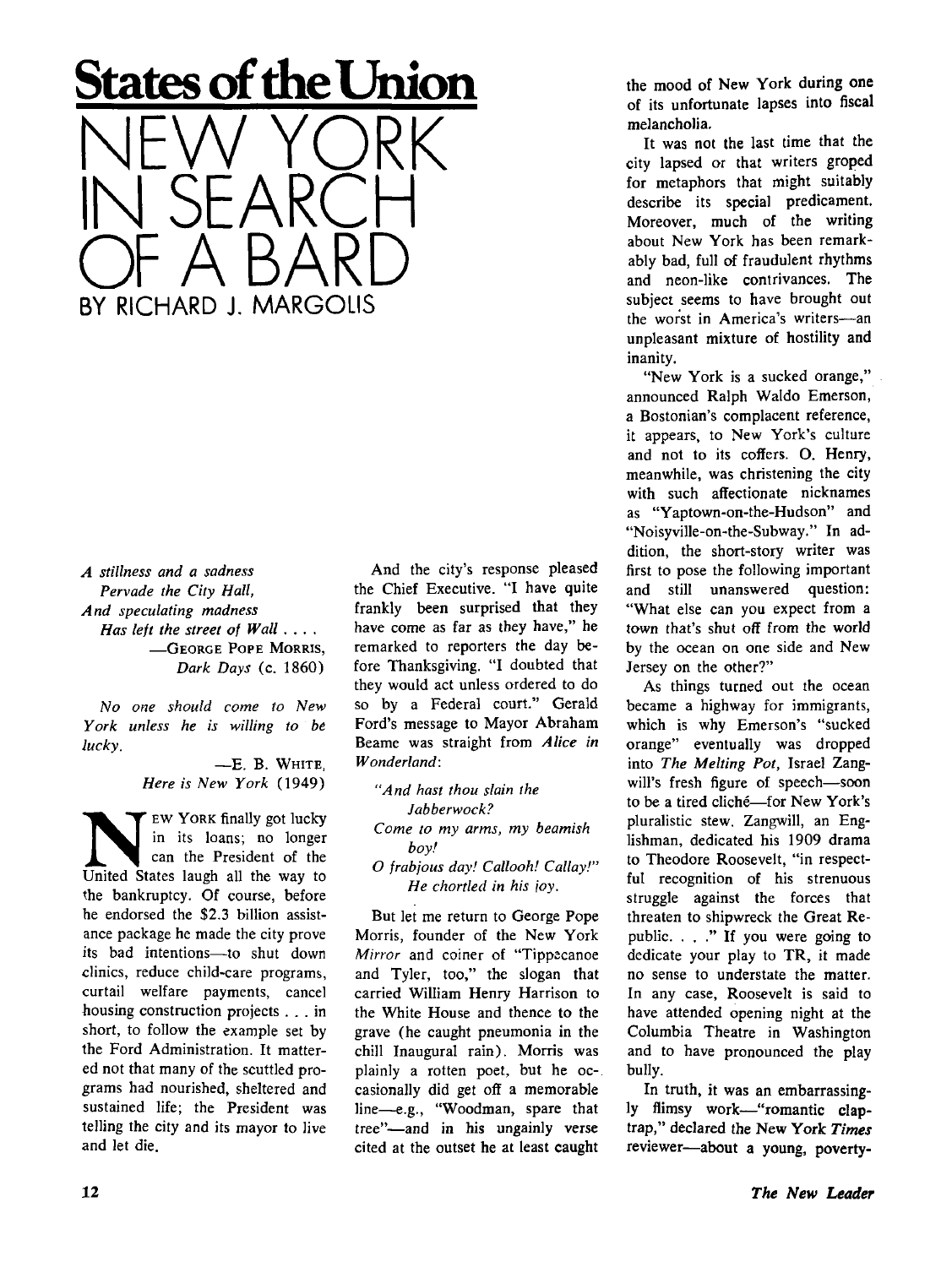## **States of the Union**

NEW YORK IN SEARCH OF A BARD BY RICHARD J. MARGOLIS

*A stillness and a sadness Pervade the City Hall, And speculating madness Has left the street of Wall ... .*  **—GEORG E POPE MORRIS,**  *Dark Days* (c. 1860)

*No one should come to New York unless he is willing to be lucky.* 

> — E . B. **WHITE,**  *Here is New York* (1949)

EW YORK finally got lucky<br>in its loans; no longer<br>can the President of the<br>United States laugh all the way to **<sup>E</sup> W YOR K** finally got lucky in its loans; no longer can the President of the the bankruptcy. Of course, before he endorsed the \$2.3 billion assistance package he made the city prove its bad intentions—to shut down clinics, reduce child-care programs, curtail welfare payments, cancel housing construction projects .. . in short, to follow the example set by the Ford Administration. It mattered not that many of the scuttled programs had nourished, sheltered and sustained life; the President was telling the city and its mayor to live and let die.

And the city's response pleased the Chief Executive. "I have quite frankly been surprised that they have come as far as they have," he remarked to reporters the day before Thanksgiving. "I doubted that they would act unless ordered to do so by a Federal court." Gerald Ford's message to Mayor Abraham Beame was straight from *Alice in Wonderland:* 

*"And hast thou slain the Jabberwock? Come to my arms, my beamish boy! O frabjous day! Callooh! Callay!" He chortled in his joy.* 

But let me return to George Pope Morris, founder of the New York *Mirror* and coiner of "Tippecanoe and Tyler, too," the slogan that carried William Henry Harrison to the White House and thence to the grave (he caught pneumonia in the chill Inaugural rain). Morris was plainly a rotten poet, but he occasionally did get off a memorable line—e.g., "Woodman, spare that tree"—and in his ungainly verse cited at the outset he at least caught

the mood of New York during one of its unfortunate lapses into fiscal melancholia.

It was not the last time that the city lapsed or that writers groped for metaphors that might suitably describe its special predicament. Moreover, much of the writing about New York has been remarkably bad, full of fraudulent rhythms and neon-like contrivances. The subject seems to have brought out the worst in America's writers—an unpleasant mixture of hostility and inanity.

"New York is a sucked orange," announced Ralph Waldo Emerson, a Bostonian's complacent reference, it appears, to New York's culture and not to its coffers. O. Henry, meanwhile, was christening the city with such affectionate nicknames as "Yaptown-on-the-Hudson" and "Noisyville-on-the-Subway." In addition, the short-story writer was first to pose the following important and still unanswered question: "What else can you expect from a town that's shut off from the world by the ocean on one side and New Jersey on the other?"

As things turned out the ocean became a highway for immigrants, which is why Emerson's "sucked orange" eventually was dropped into *The Melting Pot,* Israel Zangwill's fresh figure of speech—soon to be a tired cliché—for New York's pluralistic stew. Zangwill, an Englishman, dedicated his 1909 drama to Theodore Roosevelt, "in respectful recognition of his strenuous struggle against the forces that threaten to shipwreck the Great Republic. . . ." If you were going to dedicate your play to TR , it made no sense to understate the matter. In any case, Roosevelt is said to have attended opening night at the Columbia Theatre in Washington and to have pronounced the play bully.

In truth, it was an embarrassingly flimsy work—"romantic claptrap," declared the New York Times reviewer—about a young, poverty